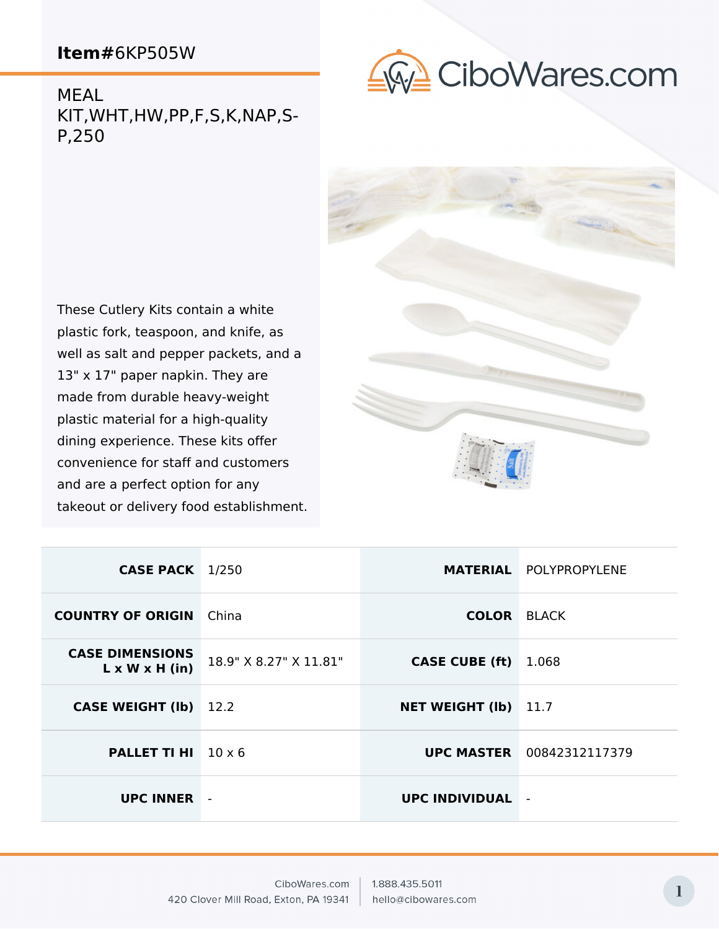

MEAL KIT,WHT,HW,PP,F,S,K,NAP,S-P,250

These Cutlery Kits contain a white plastic fork, teaspoon, and knife, as well as salt and pepper packets, and a 13" x 17" paper napkin. They are made from durable heavy-weight plastic material for a high-quality dining experience. These kits offer convenience for staff and customers and are a perfect option for any takeout or delivery food establishment.



| <b>CASE PACK</b> 1/250                               |                        |                             | <b>MATERIAL POLYPROPYLENE</b>    |
|------------------------------------------------------|------------------------|-----------------------------|----------------------------------|
| <b>COUNTRY OF ORIGIN</b>                             | China                  | <b>COLOR BLACK</b>          |                                  |
| <b>CASE DIMENSIONS</b><br>$L \times W \times H$ (in) | 18.9" X 8.27" X 11.81" | <b>CASE CUBE (ft)</b>       | 1.068                            |
| <b>CASE WEIGHT (Ib)</b> 12.2                         |                        | <b>NET WEIGHT (Ib)</b> 11.7 |                                  |
| <b>PALLET TI HI</b> $10 \times 6$                    |                        |                             | <b>UPC MASTER</b> 00842312117379 |
| <b>UPC INNER</b>                                     |                        | <b>UPC INDIVIDUAL</b>       | $\blacksquare$                   |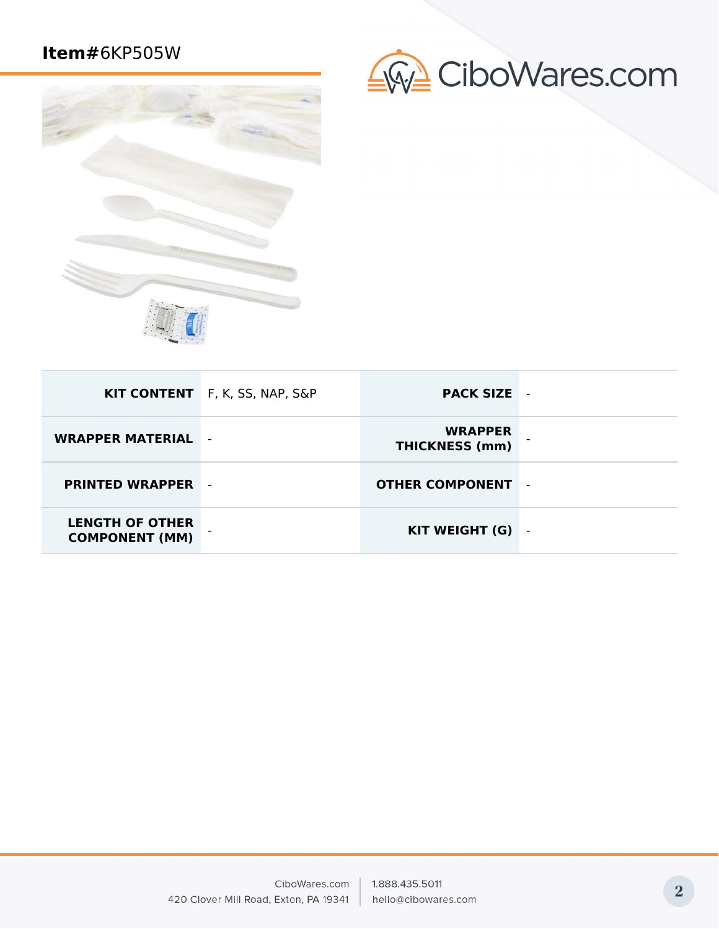

| GW CiboWares.com |  |
|------------------|--|
|------------------|--|

|                                                 | KIT CONTENT F, K, SS, NAP, S&P | <b>PACK SIZE</b>                        | $\overline{\phantom{a}}$ |
|-------------------------------------------------|--------------------------------|-----------------------------------------|--------------------------|
| <b>WRAPPER MATERIAL</b>                         | $\overline{\phantom{a}}$       | <b>WRAPPER</b><br><b>THICKNESS (mm)</b> |                          |
| <b>PRINTED WRAPPER</b>                          |                                | <b>OTHER COMPONENT</b>                  | $\overline{a}$           |
| <b>LENGTH OF OTHER</b><br><b>COMPONENT (MM)</b> |                                | KIT WEIGHT (G)                          | $\overline{\phantom{a}}$ |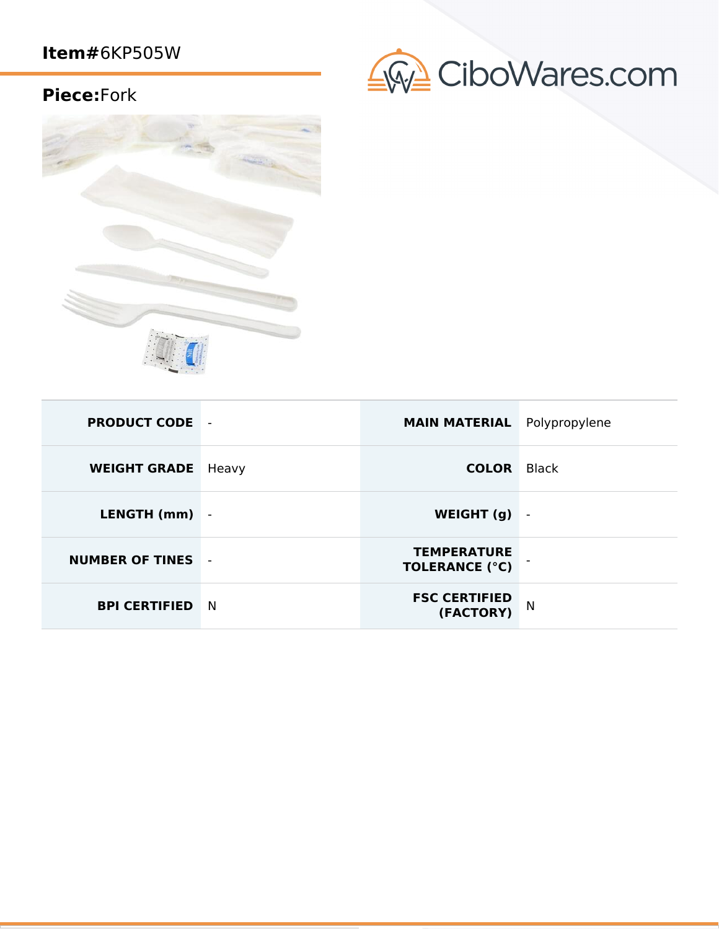## CiboWares.com

## **Piece:**Fork



| <b>PRODUCT CODE -</b>  |       | <b>MAIN MATERIAL</b> Polypropylene          |                |
|------------------------|-------|---------------------------------------------|----------------|
| <b>WEIGHT GRADE</b>    | Heavy | <b>COLOR</b> Black                          |                |
| LENGTH (mm)            |       | WEIGHT (g)                                  | $\blacksquare$ |
| <b>NUMBER OF TINES</b> |       | <b>TEMPERATURE</b><br><b>TOLERANCE (°C)</b> |                |
| <b>BPI CERTIFIED</b>   | N.    | <b>FSC CERTIFIED</b><br>(FACTORY)           | N              |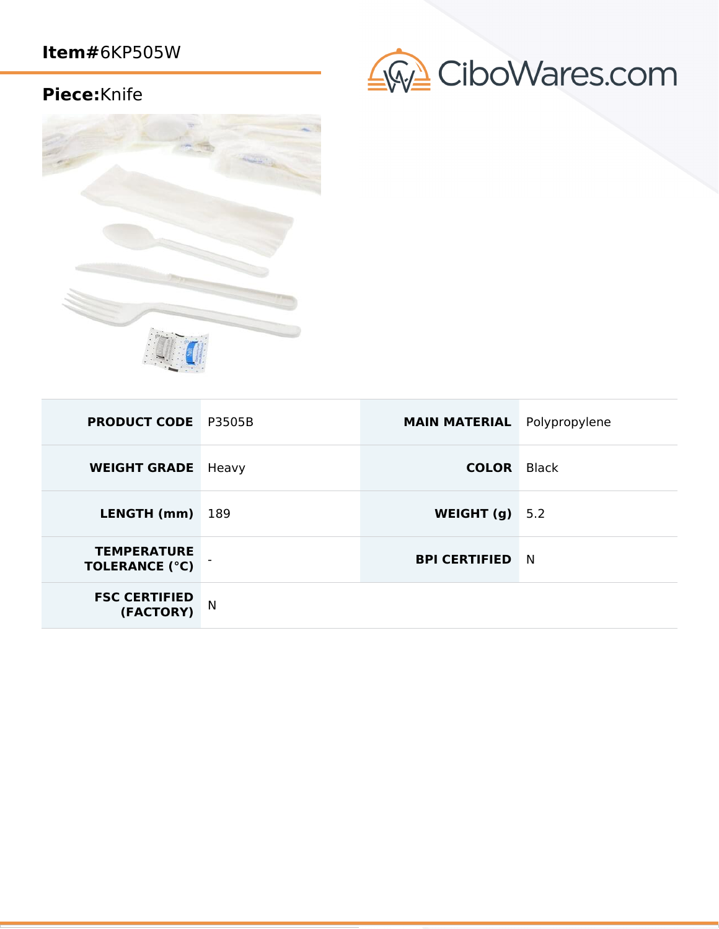## CiboWares.com

### **Piece:**Knife



| <b>PRODUCT CODE</b> P3505B                  |       | <b>MAIN MATERIAL</b> Polypropylene |       |
|---------------------------------------------|-------|------------------------------------|-------|
| <b>WEIGHT GRADE</b>                         | Heavy | <b>COLOR</b>                       | Black |
| LENGTH (mm)                                 | 189   | WEIGHT (g)                         | 5.2   |
| <b>TEMPERATURE</b><br><b>TOLERANCE (°C)</b> |       | <b>BPI CERTIFIED</b>               | N N   |
| <b>FSC CERTIFIED</b><br>(FACTORY)           | N     |                                    |       |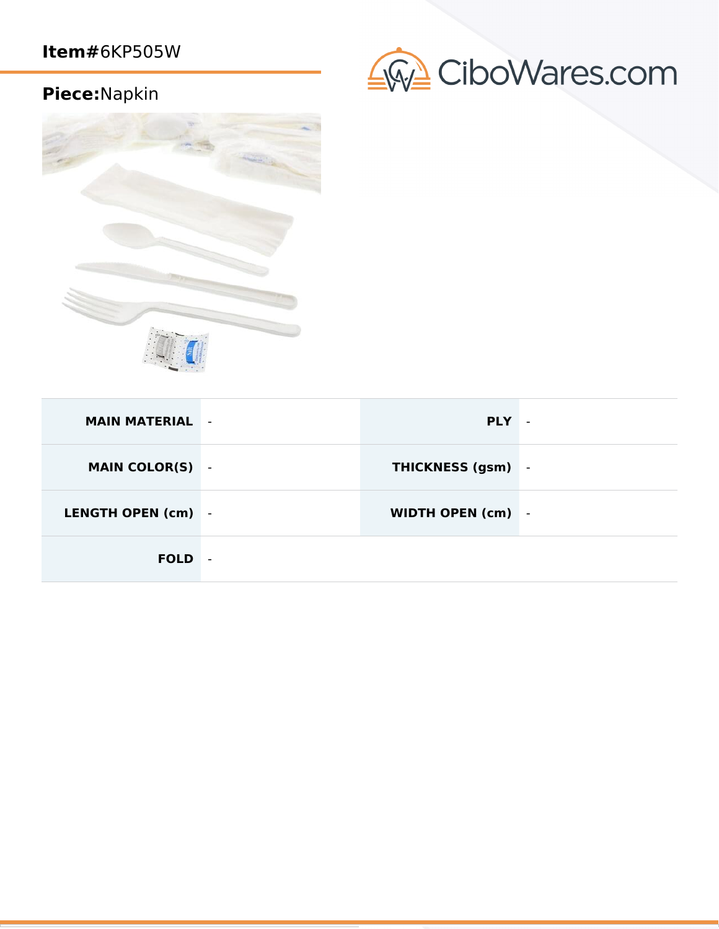## CiboWares.com

## **Piece:**Napkin



| <b>MAIN MATERIAL -</b> |                          | <b>PLY</b>               | $\blacksquare$ |
|------------------------|--------------------------|--------------------------|----------------|
| <b>MAIN COLOR(S)</b>   | $\sim$                   | <b>THICKNESS (gsm)</b> - |                |
| LENGTH OPEN (cm) -     |                          | WIDTH OPEN (cm) -        |                |
| <b>FOLD</b>            | $\overline{\phantom{a}}$ |                          |                |